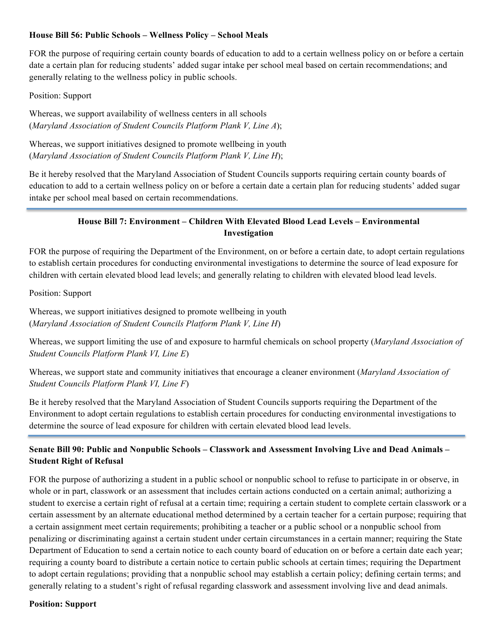## **House Bill 56: Public Schools – Wellness Policy – School Meals**

FOR the purpose of requiring certain county boards of education to add to a certain wellness policy on or before a certain date a certain plan for reducing students' added sugar intake per school meal based on certain recommendations; and generally relating to the wellness policy in public schools.

Position: Support

Whereas, we support availability of wellness centers in all schools (*Maryland Association of Student Councils Platform Plank V, Line A*);

Whereas, we support initiatives designed to promote wellbeing in youth (*Maryland Association of Student Councils Platform Plank V, Line H*);

Be it hereby resolved that the Maryland Association of Student Councils supports requiring certain county boards of education to add to a certain wellness policy on or before a certain date a certain plan for reducing students' added sugar intake per school meal based on certain recommendations.

## **House Bill 7: Environment – Children With Elevated Blood Lead Levels – Environmental Investigation**

FOR the purpose of requiring the Department of the Environment, on or before a certain date, to adopt certain regulations to establish certain procedures for conducting environmental investigations to determine the source of lead exposure for children with certain elevated blood lead levels; and generally relating to children with elevated blood lead levels.

Position: Support

Whereas, we support initiatives designed to promote wellbeing in youth (*Maryland Association of Student Councils Platform Plank V, Line H*)

Whereas, we support limiting the use of and exposure to harmful chemicals on school property (*Maryland Association of Student Councils Platform Plank VI, Line E*)

Whereas, we support state and community initiatives that encourage a cleaner environment (*Maryland Association of Student Councils Platform Plank VI, Line F*)

Be it hereby resolved that the Maryland Association of Student Councils supports requiring the Department of the Environment to adopt certain regulations to establish certain procedures for conducting environmental investigations to determine the source of lead exposure for children with certain elevated blood lead levels.

# **Senate Bill 90: Public and Nonpublic Schools – Classwork and Assessment Involving Live and Dead Animals – Student Right of Refusal**

FOR the purpose of authorizing a student in a public school or nonpublic school to refuse to participate in or observe, in whole or in part, classwork or an assessment that includes certain actions conducted on a certain animal; authorizing a student to exercise a certain right of refusal at a certain time; requiring a certain student to complete certain classwork or a certain assessment by an alternate educational method determined by a certain teacher for a certain purpose; requiring that a certain assignment meet certain requirements; prohibiting a teacher or a public school or a nonpublic school from penalizing or discriminating against a certain student under certain circumstances in a certain manner; requiring the State Department of Education to send a certain notice to each county board of education on or before a certain date each year; requiring a county board to distribute a certain notice to certain public schools at certain times; requiring the Department to adopt certain regulations; providing that a nonpublic school may establish a certain policy; defining certain terms; and generally relating to a student's right of refusal regarding classwork and assessment involving live and dead animals.

### **Position: Support**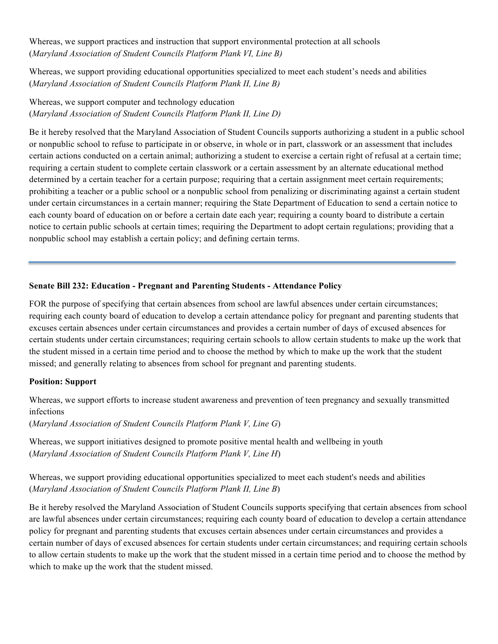Whereas, we support practices and instruction that support environmental protection at all schools (*Maryland Association of Student Councils Platform Plank VI, Line B)*

Whereas, we support providing educational opportunities specialized to meet each student's needs and abilities (*Maryland Association of Student Councils Platform Plank II, Line B)* 

Whereas, we support computer and technology education (*Maryland Association of Student Councils Platform Plank II, Line D)*

Be it hereby resolved that the Maryland Association of Student Councils supports authorizing a student in a public school or nonpublic school to refuse to participate in or observe, in whole or in part, classwork or an assessment that includes certain actions conducted on a certain animal; authorizing a student to exercise a certain right of refusal at a certain time; requiring a certain student to complete certain classwork or a certain assessment by an alternate educational method determined by a certain teacher for a certain purpose; requiring that a certain assignment meet certain requirements; prohibiting a teacher or a public school or a nonpublic school from penalizing or discriminating against a certain student under certain circumstances in a certain manner; requiring the State Department of Education to send a certain notice to each county board of education on or before a certain date each year; requiring a county board to distribute a certain notice to certain public schools at certain times; requiring the Department to adopt certain regulations; providing that a nonpublic school may establish a certain policy; and defining certain terms.

### **Senate Bill 232: Education - Pregnant and Parenting Students - Attendance Policy**

FOR the purpose of specifying that certain absences from school are lawful absences under certain circumstances; requiring each county board of education to develop a certain attendance policy for pregnant and parenting students that excuses certain absences under certain circumstances and provides a certain number of days of excused absences for certain students under certain circumstances; requiring certain schools to allow certain students to make up the work that the student missed in a certain time period and to choose the method by which to make up the work that the student missed; and generally relating to absences from school for pregnant and parenting students.

### **Position: Support**

Whereas, we support efforts to increase student awareness and prevention of teen pregnancy and sexually transmitted infections

(*Maryland Association of Student Councils Platform Plank V, Line G*)

Whereas, we support initiatives designed to promote positive mental health and wellbeing in youth (*Maryland Association of Student Councils Platform Plank V, Line H*)

Whereas, we support providing educational opportunities specialized to meet each student's needs and abilities (*Maryland Association of Student Councils Platform Plank II, Line B*)

Be it hereby resolved the Maryland Association of Student Councils supports specifying that certain absences from school are lawful absences under certain circumstances; requiring each county board of education to develop a certain attendance policy for pregnant and parenting students that excuses certain absences under certain circumstances and provides a certain number of days of excused absences for certain students under certain circumstances; and requiring certain schools to allow certain students to make up the work that the student missed in a certain time period and to choose the method by which to make up the work that the student missed.